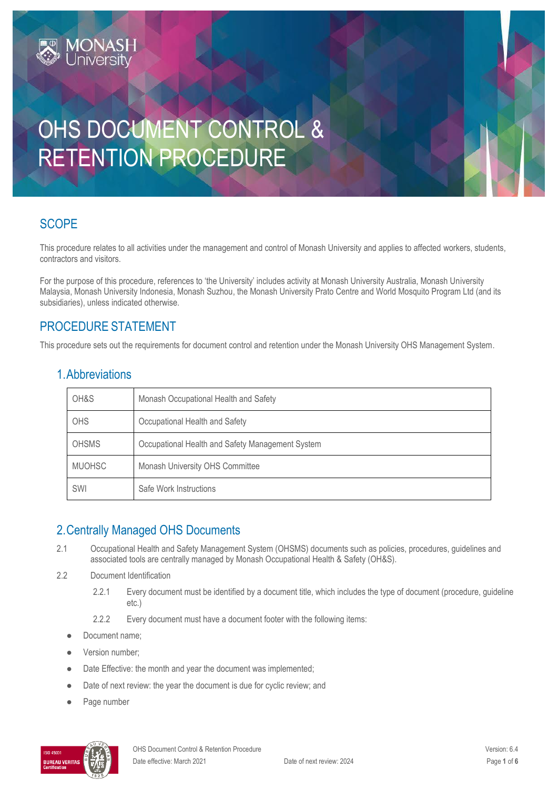# OHS DOCUMENT CONTROL & RETENTION PROCEDURE

## **SCOPE**

This procedure relates to all activities under the management and control of Monash University and applies to affected workers, students, contractors and visitors.

For the purpose of this procedure, references to 'the University' includes activity at Monash University Australia, Monash University Malaysia, Monash University Indonesia, Monash Suzhou, the Monash University Prato Centre and World Mosquito Program Ltd (and its subsidiaries), unless indicated otherwise.

## PROCEDURE STATEMENT

MONASH<br>University

This procedure sets out the requirements for document control and retention under the Monash University OHS Management System.

| 1. Abbreviations |  |  |  |
|------------------|--|--|--|
|                  |  |  |  |

| OH&S          | Monash Occupational Health and Safety            |
|---------------|--------------------------------------------------|
| OHS           | Occupational Health and Safety                   |
| <b>OHSMS</b>  | Occupational Health and Safety Management System |
| <b>MUOHSC</b> | Monash University OHS Committee                  |
| SWI           | Safe Work Instructions                           |

## 2.Centrally Managed OHS Documents

- 2.1 Occupational Health and Safety Management System (OHSMS) documents such as policies, procedures, guidelines and associated tools are centrally managed by Monash Occupational Health & Safety (OH&S).
- 2.2 Document Identification
	- 2.2.1 Every document must be identified by a document title, which includes the type of document (procedure, guideline etc.)
	- 2.2.2 Every document must have a document footer with the following items:
	- Document name;
	- Version number;
	- Date Effective: the month and year the document was implemented;
	- Date of next review: the year the document is due for cyclic review; and
	- Page number

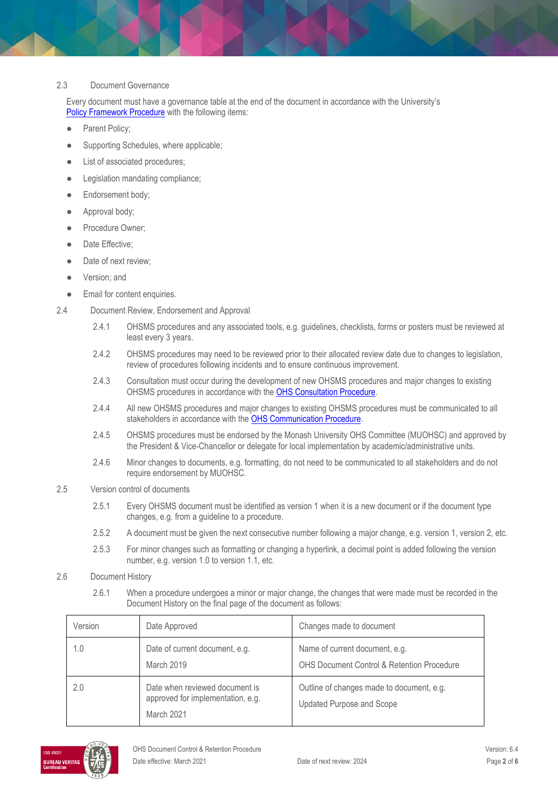#### 2.3 Document Governance

Every document must have a governance table at the end of the document in accordance with the University's [Policy Framework Procedure](https://publicpolicydms.monash.edu/Monash/documents/1909255) with the following items:

- Parent Policy;
- Supporting Schedules, where applicable;
- List of associated procedures;
- Legislation mandating compliance;
- Endorsement body;
- Approval body;
- Procedure Owner;
- Date Effective:
- Date of next review;
- Version; and
- Email for content enquiries.
- 2.4 Document Review, Endorsement and Approval
	- 2.4.1 OHSMS procedures and any associated tools, e.g. guidelines, checklists, forms or posters must be reviewed at least every 3 years.
	- 2.4.2 OHSMS procedures may need to be reviewed prior to their allocated review date due to changes to legislation, review of procedures following incidents and to ensure continuous improvement.
	- 2.4.3 Consultation must occur during the development of new OHSMS procedures and major changes to existing OHSMS procedures in accordance with the [OHS Consultation Procedure.](https://publicpolicydms.monash.edu/Monash/documents/1935625)
	- 2.4.4 All new OHSMS procedures and major changes to existing OHSMS procedures must be communicated to all stakeholders in accordance with the [OHS Communication Procedure.](https://publicpolicydms.monash.edu/Monash/documents/1935624)
	- 2.4.5 OHSMS procedures must be endorsed by the Monash University OHS Committee (MUOHSC) and approved by the President & Vice-Chancellor or delegate for local implementation by academic/administrative units.
	- 2.4.6 Minor changes to documents, e.g. formatting, do not need to be communicated to all stakeholders and do not require endorsement by MUOHSC.
- 2.5 Version control of documents
	- 2.5.1 Every OHSMS document must be identified as version 1 when it is a new document or if the document type changes, e.g. from a guideline to a procedure.
	- 2.5.2 A document must be given the next consecutive number following a major change, e.g. version 1, version 2, etc.
	- 2.5.3 For minor changes such as formatting or changing a hyperlink, a decimal point is added following the version number, e.g. version 1.0 to version 1.1, etc.
- 2.6 Document History
	- 2.6.1 When a procedure undergoes a minor or major change, the changes that were made must be recorded in the Document History on the final page of the document as follows:

| Version | Date Approved                                                                     | Changes made to document                                                                |
|---------|-----------------------------------------------------------------------------------|-----------------------------------------------------------------------------------------|
| 1.0     | Date of current document, e.g.<br>March 2019                                      | Name of current document, e.g.<br><b>OHS Document Control &amp; Retention Procedure</b> |
| 2.0     | Date when reviewed document is<br>approved for implementation, e.g.<br>March 2021 | Outline of changes made to document, e.g.<br>Updated Purpose and Scope                  |

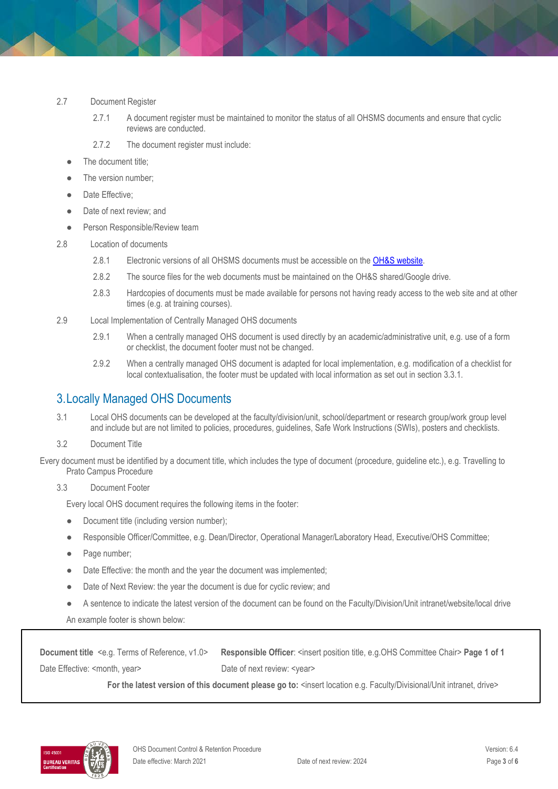#### 2.7 Document Register

- 2.7.1 A document register must be maintained to monitor the status of all OHSMS documents and ensure that cyclic reviews are conducted.
- 2.7.2 The document register must include:
- The document title;
- The version number;
- Date Effective;
- Date of next review; and
- Person Responsible/Review team
- 2.8 Location of documents
	- 2.8.1 Electronic versions of all OHSMS documents must be accessible on the [OH&S website.](https://www.monash.edu/ohs/info-docs)
	- 2.8.2 The source files for the web documents must be maintained on the OH&S shared/Google drive.
	- 2.8.3 Hardcopies of documents must be made available for persons not having ready access to the web site and at other times (e.g. at training courses).
- 2.9 Local Implementation of Centrally Managed OHS documents
	- 2.9.1 When a centrally managed OHS document is used directly by an academic/administrative unit, e.g. use of a form or checklist, the document footer must not be changed.
	- 2.9.2 When a centrally managed OHS document is adapted for local implementation, e.g. modification of a checklist for local contextualisation, the footer must be updated with local information as set out in section 3.3.1.

## 3.Locally Managed OHS Documents

- 3.1 Local OHS documents can be developed at the faculty/division/unit, school/department or research group/work group level and include but are not limited to policies, procedures, guidelines, Safe Work Instructions (SWIs), posters and checklists.
- 3.2 Document Title

Every document must be identified by a document title, which includes the type of document (procedure, guideline etc.), e.g. Travelling to Prato Campus Procedure

3.3 Document Footer

Every local OHS document requires the following items in the footer:

- Document title (including version number);
- Responsible Officer/Committee, e.g. Dean/Director, Operational Manager/Laboratory Head, Executive/OHS Committee;
- Page number;
- Date Effective: the month and the year the document was implemented;
- Date of Next Review: the year the document is due for cyclic review; and
- A sentence to indicate the latest version of the document can be found on the Faculty/Division/Unit intranet/website/local drive

An example footer is shown below:

**Document title** <e.g. Terms of Reference, v1.0> **Responsible Officer**: <insert position title, e.g.OHS Committee Chair> **Page 1 of 1** Date Effective: <month, year> Date of next review: <year>

For the latest version of this document please go to: <insert location e.g. Faculty/Divisional/Unit intranet, drive>

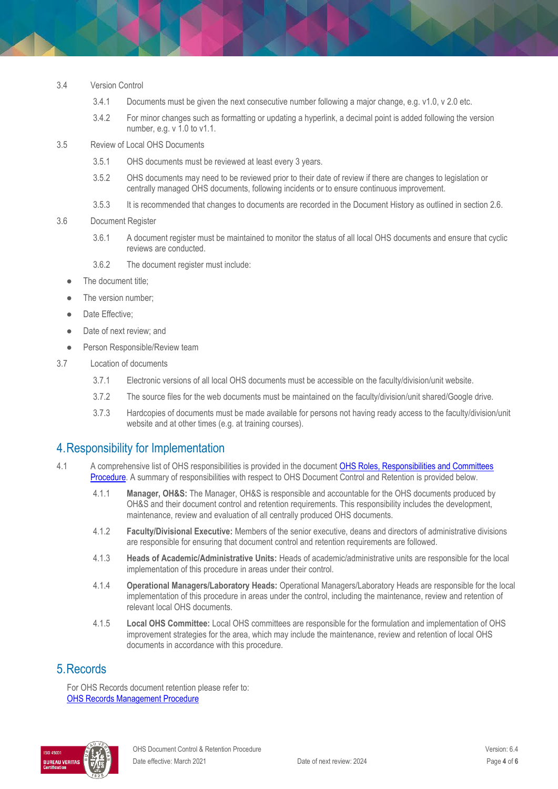- 3.4 Version Control
	- 3.4.1 Documents must be given the next consecutive number following a major change, e.g. v1.0, v 2.0 etc.
	- 3.4.2 For minor changes such as formatting or updating a hyperlink, a decimal point is added following the version number, e.g. v 1.0 to v1.1.
- 3.5 Review of Local OHS Documents
	- 3.5.1 OHS documents must be reviewed at least every 3 years.
	- 3.5.2 OHS documents may need to be reviewed prior to their date of review if there are changes to legislation or centrally managed OHS documents, following incidents or to ensure continuous improvement.
	- 3.5.3 It is recommended that changes to documents are recorded in the Document History as outlined in section 2.6.

#### 3.6 Document Register

- 3.6.1 A document register must be maintained to monitor the status of all local OHS documents and ensure that cyclic reviews are conducted.
- 3.6.2 The document register must include:
- The document title;
- The version number;
- Date Effective:
- Date of next review; and
- Person Responsible/Review team
- 3.7 Location of documents
	- 3.7.1 Electronic versions of all local OHS documents must be accessible on the faculty/division/unit website.
	- 3.7.2 The source files for the web documents must be maintained on the faculty/division/unit shared/Google drive.
	- 3.7.3 Hardcopies of documents must be made available for persons not having ready access to the faculty/division/unit website and at other times (e.g. at training courses).

## 4.Responsibility for Implementation

- 4.1 A comprehensive list of OHS responsibilities is provided in the document OHS Roles, Responsibilities and Committees [Procedure.](https://publicpolicydms.monash.edu/Monash/documents/1935644) A summary of responsibilities with respect to OHS Document Control and Retention is provided below.
	- 4.1.1 **Manager, OH&S:** The Manager, OH&S is responsible and accountable for the OHS documents produced by OH&S and their document control and retention requirements. This responsibility includes the development, maintenance, review and evaluation of all centrally produced OHS documents.
	- 4.1.2 **Faculty/Divisional Executive:** Members of the senior executive, deans and directors of administrative divisions are responsible for ensuring that document control and retention requirements are followed.
	- 4.1.3 **Heads of Academic/Administrative Units:** Heads of academic/administrative units are responsible for the local implementation of this procedure in areas under their control.
	- 4.1.4 **Operational Managers/Laboratory Heads:** Operational Managers/Laboratory Heads are responsible for the local implementation of this procedure in areas under the control, including the maintenance, review and retention of relevant local OHS documents.
	- 4.1.5 **Local OHS Committee:** Local OHS committees are responsible for the formulation and implementation of OHS improvement strategies for the area, which may include the maintenance, review and retention of local OHS documents in accordance with this procedure.

### 5.Records

For OHS Records document retention please refer to: [OHS Records Management Procedure](https://publicpolicydms.monash.edu/Monash/documents/1935642)

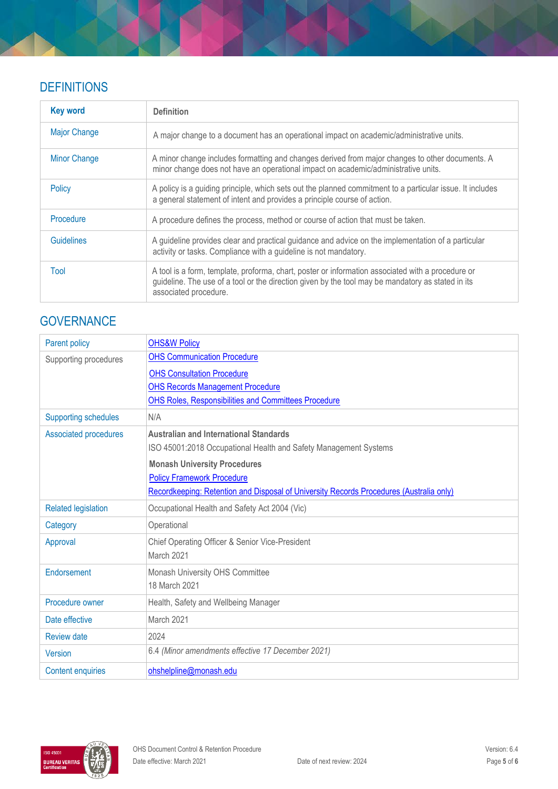## **DEFINITIONS**

| <b>Key word</b>     | <b>Definition</b>                                                                                                                                                                                                               |
|---------------------|---------------------------------------------------------------------------------------------------------------------------------------------------------------------------------------------------------------------------------|
| <b>Major Change</b> | A major change to a document has an operational impact on academic/administrative units.                                                                                                                                        |
| <b>Minor Change</b> | A minor change includes formatting and changes derived from major changes to other documents. A<br>minor change does not have an operational impact on academic/administrative units.                                           |
| Policy              | A policy is a guiding principle, which sets out the planned commitment to a particular issue. It includes<br>a general statement of intent and provides a principle course of action.                                           |
| Procedure           | A procedure defines the process, method or course of action that must be taken.                                                                                                                                                 |
| <b>Guidelines</b>   | A guideline provides clear and practical guidance and advice on the implementation of a particular<br>activity or tasks. Compliance with a guideline is not mandatory.                                                          |
| Tool                | A tool is a form, template, proforma, chart, poster or information associated with a procedure or<br>guideline. The use of a tool or the direction given by the tool may be mandatory as stated in its<br>associated procedure. |

# **GOVERNANCE**

| Parent policy                | <b>OHS&amp;W Policy</b>                                                                 |
|------------------------------|-----------------------------------------------------------------------------------------|
| Supporting procedures        | <b>OHS Communication Procedure</b>                                                      |
|                              | <b>OHS Consultation Procedure</b>                                                       |
|                              | <b>OHS Records Management Procedure</b>                                                 |
|                              | <b>OHS Roles, Responsibilities and Committees Procedure</b>                             |
| <b>Supporting schedules</b>  | N/A                                                                                     |
| <b>Associated procedures</b> | <b>Australian and International Standards</b>                                           |
|                              | ISO 45001:2018 Occupational Health and Safety Management Systems                        |
|                              | <b>Monash University Procedures</b>                                                     |
|                              | <b>Policy Framework Procedure</b>                                                       |
|                              | Recordkeeping: Retention and Disposal of University Records Procedures (Australia only) |
| <b>Related legislation</b>   | Occupational Health and Safety Act 2004 (Vic)                                           |
| Category                     | Operational                                                                             |
| Approval                     | Chief Operating Officer & Senior Vice-President                                         |
|                              | March 2021                                                                              |
| Endorsement                  | Monash University OHS Committee                                                         |
|                              | 18 March 2021                                                                           |
| Procedure owner              | Health, Safety and Wellbeing Manager                                                    |
| Date effective               | March 2021                                                                              |
| <b>Review date</b>           | 2024                                                                                    |
| <b>Version</b>               | 6.4 (Minor amendments effective 17 December 2021)                                       |
| <b>Content enquiries</b>     | ohshelpline@monash.edu                                                                  |